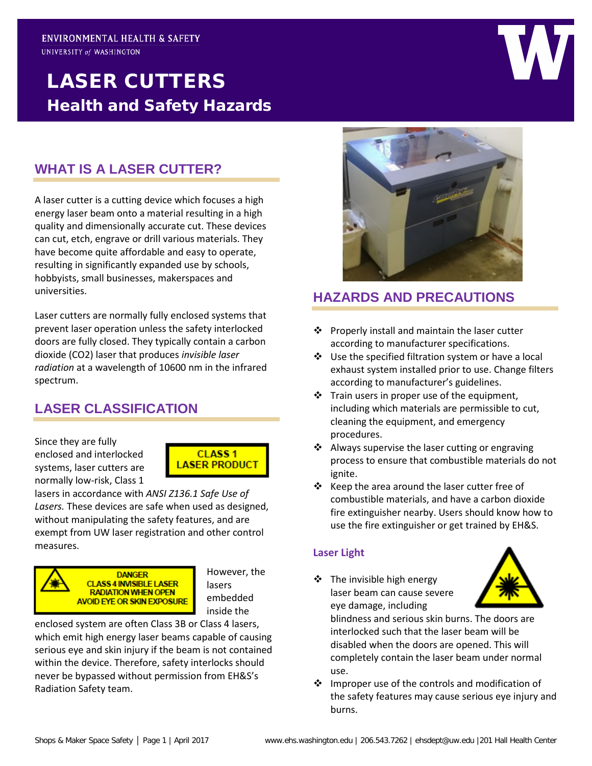# LASER CUTTERS Health and Safety Hazards

# **WHAT IS A LASER CUTTER?**

A laser cutter is a cutting device which focuses a high energy laser beam onto a material resulting in a high quality and dimensionally accurate cut. These devices can cut, etch, engrave or drill various materials. They have become quite affordable and easy to operate, resulting in significantly expanded use by schools, hobbyists, small businesses, makerspaces and universities.

Laser cutters are normally fully enclosed systems that prevent laser operation unless the safety interlocked doors are fully closed. They typically contain a carbon dioxide (CO2) laser that produces *invisible laser radiation* at a wavelength of 10600 nm in the infrared spectrum.

# **LASER CLASSIFICATION**

Since they are fully enclosed and interlocked systems, laser cutters are normally low-risk, Class 1



lasers in accordance with *ANSI Z136.1 Safe Use of Lasers.* These devices are safe when used as designed, without manipulating the safety features, and are exempt from UW laser registration and other control measures.



However, the lasers embedded inside the

enclosed system are often Class 3B or Class 4 lasers, which emit high energy laser beams capable of causing serious eye and skin injury if the beam is not contained within the device. Therefore, safety interlocks should never be bypassed without permission from EH&S's Radiation Safety team.



### **HAZARDS AND PRECAUTIONS**

- $\cdot \cdot$  Properly install and maintain the laser cutter according to manufacturer specifications.
- Use the specified filtration system or have a local exhaust system installed prior to use. Change filters according to manufacturer's guidelines.
- $\cdot$  Train users in proper use of the equipment, including which materials are permissible to cut, cleaning the equipment, and emergency procedures.
- ❖ Always supervise the laser cutting or engraving process to ensure that combustible materials do not ignite.
- $\div$  Keep the area around the laser cutter free of combustible materials, and have a carbon dioxide fire extinguisher nearby. Users should know how to use the fire extinguisher or get trained by EH&S.

#### **Laser Light**

 $\div$  The invisible high energy laser beam can cause severe eye damage, including



blindness and serious skin burns. The doors are interlocked such that the laser beam will be disabled when the doors are opened. This will completely contain the laser beam under normal use.

❖ Improper use of the controls and modification of the safety features may cause serious eye injury and burns.